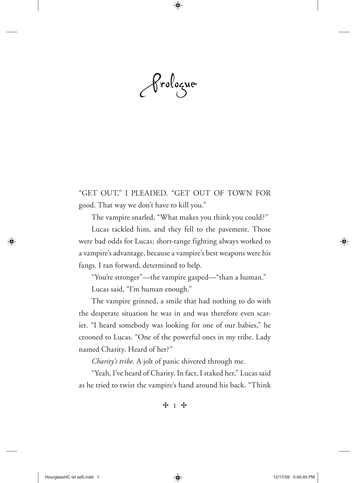Prologue

 $\bigcirc$ 

"GET OUT," I PLEADED. "GET OUT OF TOWN FOR good. That way we don't have to kill you."

The vampire snarled, "What makes you think you could?"

Lucas tackled him, and they fell to the pavement. Those were bad odds for Lucas; short-range fighting always worked to a vampire's advantage, because a vampire's best weapons were his fangs. I ran forward, determined to help.

"You're stronger"—the vampire gasped—"than a human." Lucas said, "I'm human enough."

The vampire grinned, a smile that had nothing to do with the desperate situation he was in and was therefore even scarier. "I heard somebody was looking for one of our babies," he crooned to Lucas. "One of the powerful ones in my tribe. Lady named Charity. Heard of her?"

*Charity's tribe.* A jolt of panic shivered through me.

"Yeah, I've heard of Charity. In fact, I staked her," Lucas said as he tried to twist the vampire's hand around his back. "Think

 $\ddot{+}$  1  $\ddot{+}$ 

⊕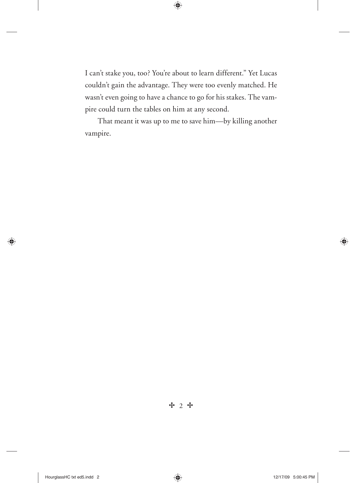I can't stake you, too? You're about to learn different." Yet Lucas couldn't gain the advantage. They were too evenly matched. He wasn't even going to have a chance to go for his stakes. The vampire could turn the tables on him at any second.

 $\bigoplus$ 

That meant it was up to me to save him—by killing another vampire.

## $\div$  2  $\div$

⊕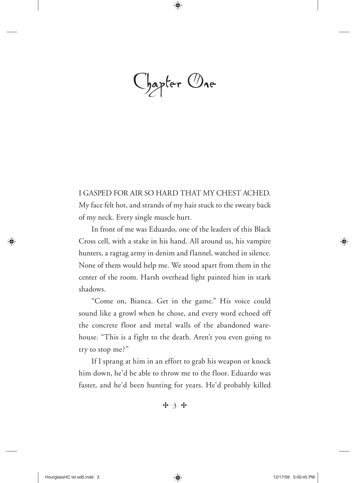Chapter One

 $\bigcirc$ 

I GASPED FOR AIR SO HARD THAT MY CHEST ACHED. My face felt hot, and strands of my hair stuck to the sweaty back of my neck. Every single muscle hurt.

In front of me was Eduardo, one of the leaders of this Black Cross cell, with a stake in his hand. All around us, his vampire hunters, a ragtag army in denim and flannel, watched in silence. None of them would help me. We stood apart from them in the center of the room. Harsh overhead light painted him in stark shadows.

"Come on, Bianca. Get in the game." His voice could sound like a growl when he chose, and every word echoed off the concrete floor and metal walls of the abandoned warehouse. "This is a fight to the death. Aren't you even going to try to stop me?"

If I sprang at him in an effort to grab his weapon or knock him down, he'd be able to throw me to the floor. Eduardo was faster, and he'd been hunting for years. He'd probably killed

 $434$ 

⊕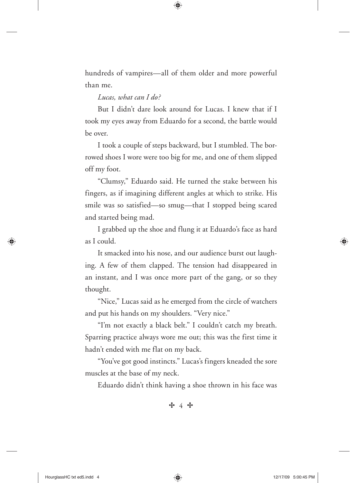hundreds of vampires—all of them older and more powerful than me.

⊕

## *Lucas, what can I do?*

But I didn't dare look around for Lucas. I knew that if I took my eyes away from Eduardo for a second, the battle would be over.

I took a couple of steps backward, but I stumbled. The borrowed shoes I wore were too big for me, and one of them slipped off my foot.

"Clumsy," Eduardo said. He turned the stake between his fingers, as if imagining different angles at which to strike. His smile was so satisfied—so smug—that I stopped being scared and started being mad.

I grabbed up the shoe and flung it at Eduardo's face as hard as I could.

It smacked into his nose, and our audience burst out laughing. A few of them clapped. The tension had disappeared in an instant, and I was once more part of the gang, or so they thought.

"Nice," Lucas said as he emerged from the circle of watchers and put his hands on my shoulders. "Very nice."

"I'm not exactly a black belt." I couldn't catch my breath. Sparring practice always wore me out; this was the first time it hadn't ended with me flat on my back.

"You've got good instincts." Lucas's fingers kneaded the sore muscles at the base of my neck.

Eduardo didn't think having a shoe thrown in his face was

 $44$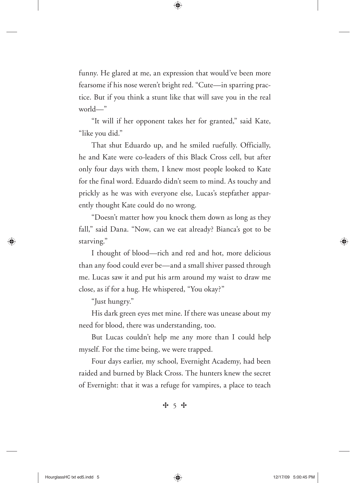funny. He glared at me, an expression that would've been more fearsome if his nose weren't bright red. "Cute—in sparring practice. But if you think a stunt like that will save you in the real world—"

⊕

"It will if her opponent takes her for granted," said Kate, "like you did."

That shut Eduardo up, and he smiled ruefully. Officially, he and Kate were co-leaders of this Black Cross cell, but after only four days with them, I knew most people looked to Kate for the final word. Eduardo didn't seem to mind. As touchy and prickly as he was with everyone else, Lucas's stepfather apparently thought Kate could do no wrong.

"Doesn't matter how you knock them down as long as they fall," said Dana. "Now, can we eat already? Bianca's got to be starving."

I thought of blood—rich and red and hot, more delicious than any food could ever be—and a small shiver passed through me. Lucas saw it and put his arm around my waist to draw me close, as if for a hug. He whispered, "You okay?"

"Just hungry."

His dark green eyes met mine. If there was unease about my need for blood, there was understanding, too.

But Lucas couldn't help me any more than I could help myself. For the time being, we were trapped.

Four days earlier, my school, Evernight Academy, had been raided and burned by Black Cross. The hunters knew the secret of Evernight: that it was a refuge for vampires, a place to teach

- 5 -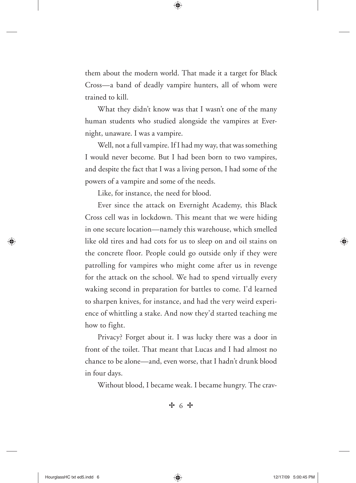them about the modern world. That made it a target for Black Cross—a band of deadly vampire hunters, all of whom were trained to kill.

⊕

What they didn't know was that I wasn't one of the many human students who studied alongside the vampires at Evernight, unaware. I was a vampire.

Well, not a full vampire. If I had my way, that was something I would never become. But I had been born to two vampires, and despite the fact that I was a living person, I had some of the powers of a vampire and some of the needs.

Like, for instance, the need for blood.

Ever since the attack on Evernight Academy, this Black Cross cell was in lockdown. This meant that we were hiding in one secure location—namely this warehouse, which smelled like old tires and had cots for us to sleep on and oil stains on the concrete floor. People could go outside only if they were patrolling for vampires who might come after us in revenge for the attack on the school. We had to spend virtually every waking second in preparation for battles to come. I'd learned to sharpen knives, for instance, and had the very weird experience of whittling a stake. And now they'd started teaching me how to fight.

Privacy? Forget about it. I was lucky there was a door in front of the toilet. That meant that Lucas and I had almost no chance to be alone—and, even worse, that I hadn't drunk blood in four days.

Without blood, I became weak. I became hungry. The crav-

 $46 +$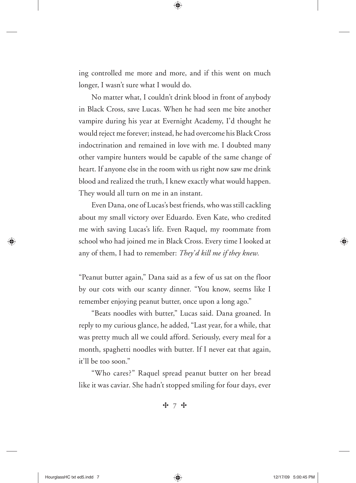ing controlled me more and more, and if this went on much longer, I wasn't sure what I would do.

⊕

No matter what, I couldn't drink blood in front of anybody in Black Cross, save Lucas. When he had seen me bite another vampire during his year at Evernight Academy, I'd thought he would reject me forever; instead, he had overcome his Black Cross indoctrination and remained in love with me. I doubted many other vampire hunters would be capable of the same change of heart. If anyone else in the room with us right now saw me drink blood and realized the truth, I knew exactly what would happen. They would all turn on me in an instant.

Even Dana, one of Lucas's best friends, who was still cackling about my small victory over Eduardo. Even Kate, who credited me with saving Lucas's life. Even Raquel, my roommate from school who had joined me in Black Cross. Every time I looked at any of them, I had to remember: *They'd kill me if they knew.* 

"Peanut butter again," Dana said as a few of us sat on the floor by our cots with our scanty dinner. "You know, seems like I remember enjoying peanut butter, once upon a long ago."

"Beats noodles with butter," Lucas said. Dana groaned. In reply to my curious glance, he added, "Last year, for a while, that was pretty much all we could afford. Seriously, every meal for a month, spaghetti noodles with butter. If I never eat that again, it'll be too soon."

"Who cares?" Raquel spread peanut butter on her bread like it was caviar. She hadn't stopped smiling for four days, ever

- 7 -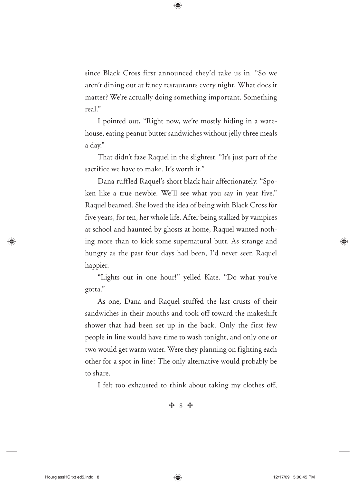since Black Cross first announced they'd take us in. "So we aren't dining out at fancy restaurants every night. What does it matter? We're actually doing something important. Something real."

⊕

I pointed out, "Right now, we're mostly hiding in a warehouse, eating peanut butter sandwiches without jelly three meals a day."

That didn't faze Raquel in the slightest. "It's just part of the sacrifice we have to make. It's worth it."

Dana ruffled Raquel's short black hair affectionately. "Spoken like a true newbie. We'll see what you say in year five." Raquel beamed. She loved the idea of being with Black Cross for five years, for ten, her whole life. After being stalked by vampires at school and haunted by ghosts at home, Raquel wanted nothing more than to kick some supernatural butt. As strange and hungry as the past four days had been, I'd never seen Raquel happier.

"Lights out in one hour!" yelled Kate. "Do what you've gotta."

As one, Dana and Raquel stuffed the last crusts of their sandwiches in their mouths and took off toward the makeshift shower that had been set up in the back. Only the first few people in line would have time to wash tonight, and only one or two would get warm water. Were they planning on fighting each other for a spot in line? The only alternative would probably be to share.

I felt too exhausted to think about taking my clothes off,

- 8 -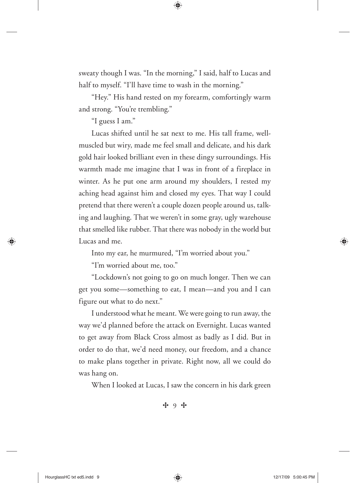sweaty though I was. "In the morning," I said, half to Lucas and half to myself. "I'll have time to wash in the morning."

⊕

"Hey." His hand rested on my forearm, comfortingly warm and strong. "You're trembling."

"I guess I am."

Lucas shifted until he sat next to me. His tall frame, wellmuscled but wiry, made me feel small and delicate, and his dark gold hair looked brilliant even in these dingy surroundings. His warmth made me imagine that I was in front of a fireplace in winter. As he put one arm around my shoulders, I rested my aching head against him and closed my eyes. That way I could pretend that there weren't a couple dozen people around us, talking and laughing. That we weren't in some gray, ugly warehouse that smelled like rubber. That there was nobody in the world but Lucas and me.

Into my ear, he murmured, "I'm worried about you."

"I'm worried about me, too."

"Lockdown's not going to go on much longer. Then we can get you some—something to eat, I mean—and you and I can figure out what to do next."

I understood what he meant. We were going to run away, the way we'd planned before the attack on Evernight. Lucas wanted to get away from Black Cross almost as badly as I did. But in order to do that, we'd need money, our freedom, and a chance to make plans together in private. Right now, all we could do was hang on.

When I looked at Lucas, I saw the concern in his dark green

- 9 -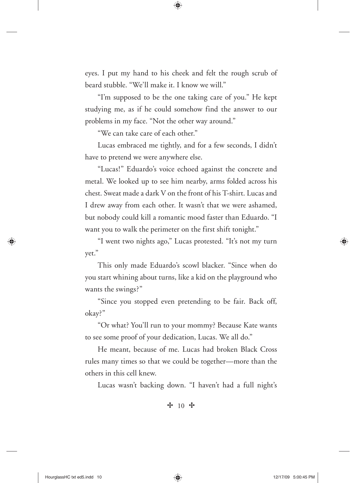eyes. I put my hand to his cheek and felt the rough scrub of beard stubble. "We'll make it. I know we will."

⊕

"I'm supposed to be the one taking care of you." He kept studying me, as if he could somehow find the answer to our problems in my face. "Not the other way around."

"We can take care of each other."

Lucas embraced me tightly, and for a few seconds, I didn't have to pretend we were anywhere else.

"Lucas!" Eduardo's voice echoed against the concrete and metal. We looked up to see him nearby, arms folded across his chest. Sweat made a dark V on the front of his T-shirt. Lucas and I drew away from each other. It wasn't that we were ashamed, but nobody could kill a romantic mood faster than Eduardo. "I want you to walk the perimeter on the first shift tonight."

"I went two nights ago," Lucas protested. "It's not my turn yet."

This only made Eduardo's scowl blacker. "Since when do you start whining about turns, like a kid on the playground who wants the swings?"

"Since you stopped even pretending to be fair. Back off, okay?"

"Or what? You'll run to your mommy? Because Kate wants to see some proof of your dedication, Lucas. We all do."

He meant, because of me. Lucas had broken Black Cross rules many times so that we could be together—more than the others in this cell knew.

Lucas wasn't backing down. "I haven't had a full night's

 $\div$  10  $\div$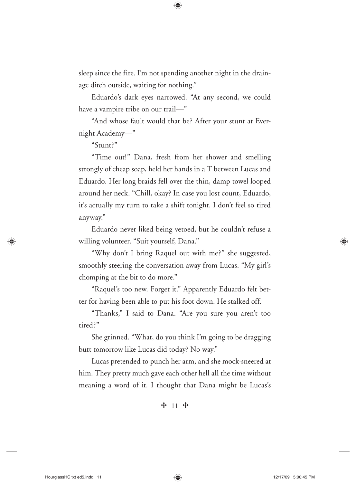sleep since the fire. I'm not spending another night in the drainage ditch outside, waiting for nothing."

⊕

Eduardo's dark eyes narrowed. "At any second, we could have a vampire tribe on our trail—"

"And whose fault would that be? After your stunt at Evernight Academy—"

"Stunt?"

"Time out!" Dana, fresh from her shower and smelling strongly of cheap soap, held her hands in a T between Lucas and Eduardo. Her long braids fell over the thin, damp towel looped around her neck. "Chill, okay? In case you lost count, Eduardo, it's actually my turn to take a shift tonight. I don't feel so tired anyway."

Eduardo never liked being vetoed, but he couldn't refuse a willing volunteer. "Suit yourself, Dana."

"Why don't I bring Raquel out with me?" she suggested, smoothly steering the conversation away from Lucas. "My girl's chomping at the bit to do more."

"Raquel's too new. Forget it." Apparently Eduardo felt better for having been able to put his foot down. He stalked off.

"Thanks," I said to Dana. "Are you sure you aren't too tired?"

She grinned. "What, do you think I'm going to be dragging butt tomorrow like Lucas did today? No way."

Lucas pretended to punch her arm, and she mock-sneered at him. They pretty much gave each other hell all the time without meaning a word of it. I thought that Dana might be Lucas's

 $\div$  11  $\div$ 

(♦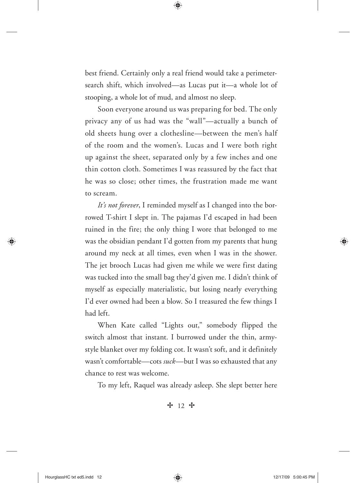best friend. Certainly only a real friend would take a perimetersearch shift, which involved—as Lucas put it—a whole lot of stooping, a whole lot of mud, and almost no sleep.

⊕

Soon everyone around us was preparing for bed. The only privacy any of us had was the "wall"—actually a bunch of old sheets hung over a clothesline—between the men's half of the room and the women's. Lucas and I were both right up against the sheet, separated only by a few inches and one thin cotton cloth. Sometimes I was reassured by the fact that he was so close; other times, the frustration made me want to scream.

*It's not forever*, I reminded myself as I changed into the borrowed T-shirt I slept in. The pajamas I'd escaped in had been ruined in the fire; the only thing I wore that belonged to me was the obsidian pendant I'd gotten from my parents that hung around my neck at all times, even when I was in the shower. The jet brooch Lucas had given me while we were first dating was tucked into the small bag they'd given me. I didn't think of myself as especially materialistic, but losing nearly everything I'd ever owned had been a blow. So I treasured the few things I had left.

When Kate called "Lights out," somebody flipped the switch almost that instant. I burrowed under the thin, armystyle blanket over my folding cot. It wasn't soft, and it definitely wasn't comfortable—cots *suck—*but I was so exhausted that any chance to rest was welcome.

To my left, Raquel was already asleep. She slept better here

 $\div$  12  $\div$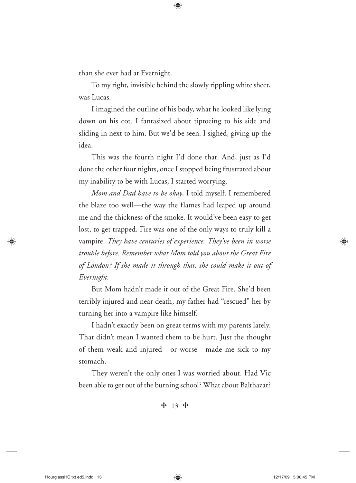than she ever had at Evernight.

To my right, invisible behind the slowly rippling white sheet, was Lucas.

⊕

I imagined the outline of his body, what he looked like lying down on his cot. I fantasized about tiptoeing to his side and sliding in next to him. But we'd be seen. I sighed, giving up the idea.

This was the fourth night I'd done that. And, just as I'd done the other four nights, once I stopped being frustrated about my inability to be with Lucas, I started worrying.

*Mom and Dad have to be okay,* I told myself. I remembered the blaze too well—the way the flames had leaped up around me and the thickness of the smoke. It would've been easy to get lost, to get trapped. Fire was one of the only ways to truly kill a vampire. *They have centuries of experience. They've been in worse trouble before. Remember what Mom told you about the Great Fire of London? If she made it through that, she could make it out of Evernight.*

But Mom hadn't made it out of the Great Fire. She'd been terribly injured and near death; my father had "rescued" her by turning her into a vampire like himself.

I hadn't exactly been on great terms with my parents lately. That didn't mean I wanted them to be hurt. Just the thought of them weak and injured—or worse—made me sick to my stomach.

They weren't the only ones I was worried about. Had Vic been able to get out of the burning school? What about Balthazar?

 $\div$  13  $\div$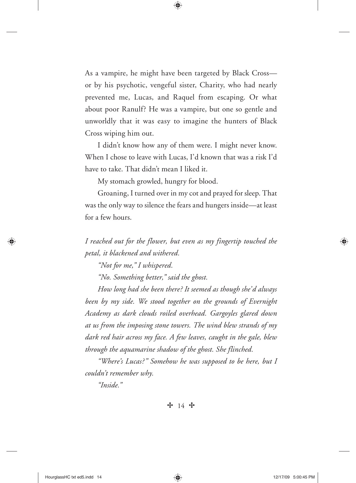As a vampire, he might have been targeted by Black Cross or by his psychotic, vengeful sister, Charity, who had nearly prevented me, Lucas, and Raquel from escaping. Or what about poor Ranulf? He was a vampire, but one so gentle and unworldly that it was easy to imagine the hunters of Black Cross wiping him out.

⊕

I didn't know how any of them were. I might never know. When I chose to leave with Lucas, I'd known that was a risk I'd have to take. That didn't mean I liked it.

My stomach growled, hungry for blood.

Groaning, I turned over in my cot and prayed for sleep. That was the only way to silence the fears and hungers inside—at least for a few hours.

*I reached out for the flower, but even as my fingertip touched the petal, it blackened and withered.* 

*"Not for me," I whispered.* 

*"No. Something better," said the ghost.* 

*How long had she been there? It seemed as though she'd always been by my side. We stood together on the grounds of Evernight Academy as dark clouds roiled overhead. Gargoyles glared down at us from the imposing stone towers. The wind blew strands of my dark red hair across my face. A few leaves, caught in the gale, blew through the aquamarine shadow of the ghost. She flinched.* 

*"Where's Lucas?" Somehow he was supposed to be here, but I couldn't remember why.* 

*"Inside."* 

 $\div$  14  $\div$